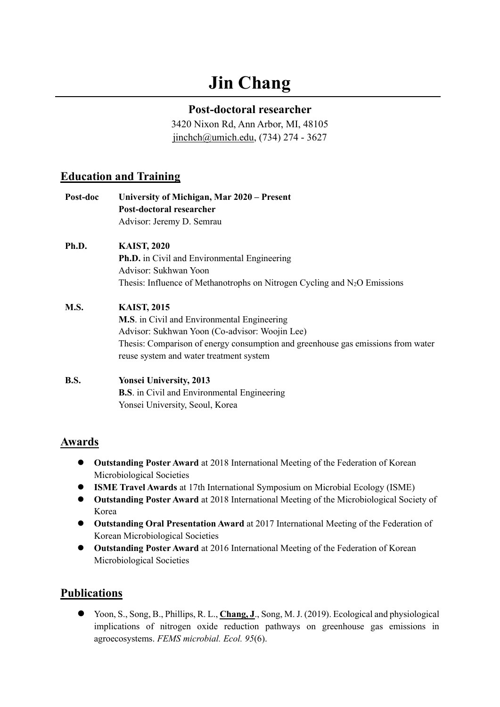# **Jin Chang**

#### **Post-doctoral researcher**

3420 Nixon Rd, Ann Arbor, MI, 48105 [jinchch@umich.edu,](mailto:jinchch@umich.edu) (734) 274 - 3627

### **Education and Training**

| Post-doc | University of Michigan, Mar 2020 – Present<br>Post-doctoral researcher<br>Advisor: Jeremy D. Semrau                                                                                                                                                       |
|----------|-----------------------------------------------------------------------------------------------------------------------------------------------------------------------------------------------------------------------------------------------------------|
| Ph.D.    | <b>KAIST, 2020</b><br><b>Ph.D.</b> in Civil and Environmental Engineering<br>Advisor: Sukhwan Yoon                                                                                                                                                        |
|          | Thesis: Influence of Methanotrophs on Nitrogen Cycling and $N_2O$ Emissions                                                                                                                                                                               |
| M.S.     | <b>KAIST, 2015</b><br><b>M.S.</b> in Civil and Environmental Engineering<br>Advisor: Sukhwan Yoon (Co-advisor: Woojin Lee)<br>Thesis: Comparison of energy consumption and greenhouse gas emissions from water<br>reuse system and water treatment system |
| B.S.     | <b>Yonsei University, 2013</b><br><b>B.S.</b> in Civil and Environmental Engineering<br>Yonsei University, Seoul, Korea                                                                                                                                   |

#### **Awards**

- ⚫ **Outstanding Poster Award** at 2018 International Meeting of the Federation of Korean Microbiological Societies
- ⚫ **ISME Travel Awards** at 17th International Symposium on Microbial Ecology (ISME)
- ⚫ **Outstanding Poster Award** at 2018 International Meeting of the Microbiological Society of Korea
- ⚫ **Outstanding Oral Presentation Award** at 2017 International Meeting of the Federation of Korean Microbiological Societies
- ⚫ **Outstanding Poster Award** at 2016 International Meeting of the Federation of Korean Microbiological Societies

## **Publications**

⚫ Yoon, S., Song, B., Phillips, R. L., **Chang, J**., Song, M. J. (2019). Ecological and physiological implications of nitrogen oxide reduction pathways on greenhouse gas emissions in agroecosystems. *FEMS microbial. Ecol. 95*(6).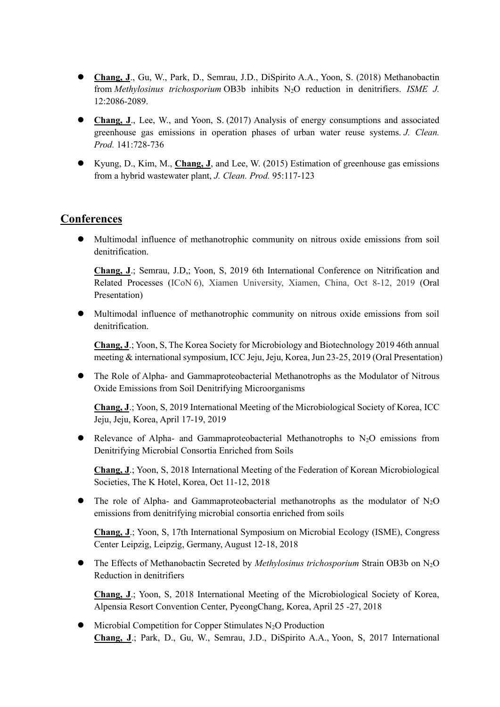- ⚫ **Chang, J**., Gu, W., Park, D., Semrau, J.D., DiSpirito A.A., Yoon, S. (2018) Methanobactin from *Methylosinus trichosporium* OB3b inhibits N2O reduction in denitrifiers. *ISME J.* 12:2086-2089.
- **Chang, J.**, Lee, W., and Yoon, S. (2017) Analysis of energy consumptions and associated greenhouse gas emissions in operation phases of urban water reuse systems. *J. Clean. Prod.* 141:728-736
- ⚫ Kyung, D., Kim, M., **Chang, J**, and Lee, W. (2015) Estimation of greenhouse gas emissions from a hybrid wastewater plant, *J. Clean. Prod.* 95:117-123

#### **Conferences**

⚫ Multimodal influence of methanotrophic community on nitrous oxide emissions from soil denitrification.

**Chang, J**.; Semrau, J.D,; Yoon, S, 2019 6th International Conference on Nitrification and Related Processes (ICoN 6), Xiamen University, Xiamen, China, Oct 8-12, 2019 (Oral Presentation)

⚫ Multimodal influence of methanotrophic community on nitrous oxide emissions from soil denitrification.

**Chang, J**.; Yoon, S, The Korea Society for Microbiology and Biotechnology 2019 46th annual meeting & international symposium, ICC Jeju, Jeju, Korea, Jun 23-25, 2019 (Oral Presentation)

⚫ The Role of Alpha- and Gammaproteobacterial Methanotrophs as the Modulator of Nitrous Oxide Emissions from Soil Denitrifying Microorganisms

**Chang, J**.; Yoon, S, 2019 International Meeting of the Microbiological Society of Korea, ICC Jeju, Jeju, Korea, April 17-19, 2019

 $\bullet$  Relevance of Alpha- and Gammaproteobacterial Methanotrophs to N<sub>2</sub>O emissions from Denitrifying Microbial Consortia Enriched from Soils

**Chang, J**.; Yoon, S, 2018 International Meeting of the Federation of Korean Microbiological Societies, The K Hotel, Korea, Oct 11-12, 2018

The role of Alpha- and Gammaproteobacterial methanotrophs as the modulator of  $N_2O$ emissions from denitrifying microbial consortia enriched from soils

**Chang, J**.; Yoon, S, 17th International Symposium on Microbial Ecology (ISME), Congress Center Leipzig, Leipzig, Germany, August 12-18, 2018

⚫ The Effects of Methanobactin Secreted by *Methylosinus trichosporium* Strain OB3b on N2O Reduction in denitrifiers

**Chang, J**.; Yoon, S, 2018 International Meeting of the Microbiological Society of Korea, Alpensia Resort Convention Center, PyeongChang, Korea, April 25 -27, 2018

 $\bullet$  Microbial Competition for Copper Stimulates N<sub>2</sub>O Production **Chang, J**.; Park, D., Gu, W., Semrau, J.D., DiSpirito A.A., Yoon, S, 2017 International